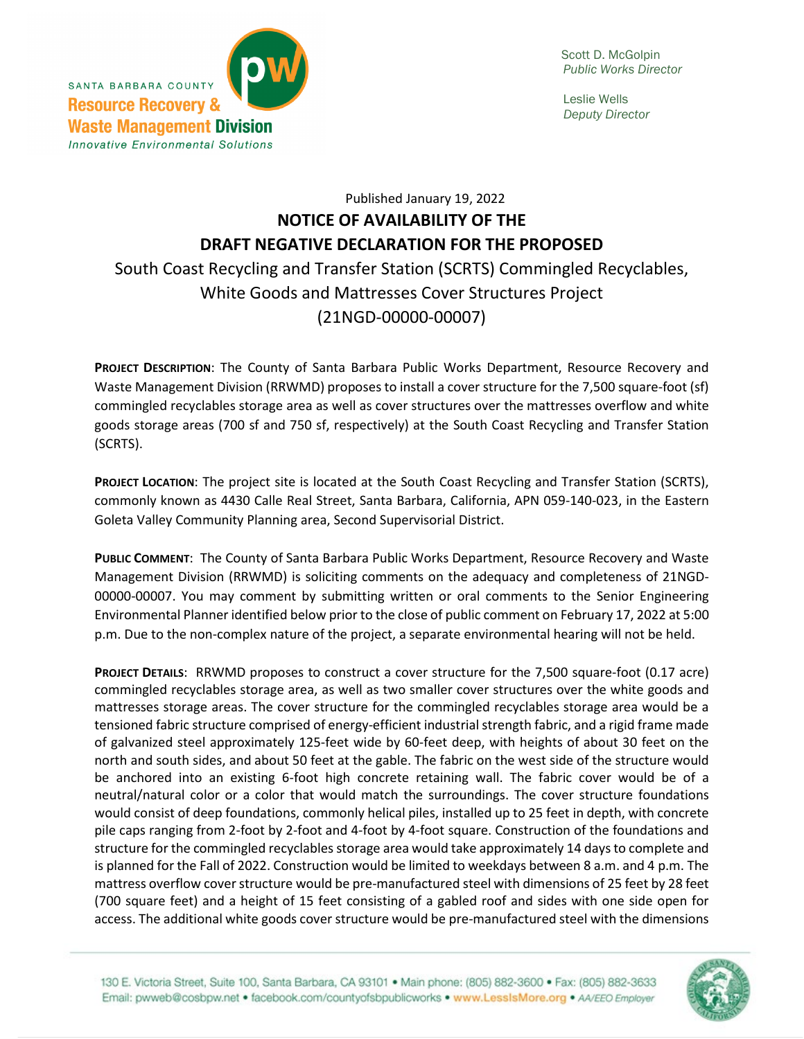

 Leslie Wells *Deputy Director*

## Published January 19, 2022 **NOTICE OF AVAILABILITY OF THE DRAFT NEGATIVE DECLARATION FOR THE PROPOSED** South Coast Recycling and Transfer Station (SCRTS) Commingled Recyclables, White Goods and Mattresses Cover Structures Project (21NGD-00000-00007)

**PROJECT DESCRIPTION**: The County of Santa Barbara Public Works Department, Resource Recovery and Waste Management Division (RRWMD) proposes to install a cover structure for the 7,500 square-foot (sf) commingled recyclables storage area as well as cover structures over the mattresses overflow and white goods storage areas (700 sf and 750 sf, respectively) at the South Coast Recycling and Transfer Station (SCRTS).

**PROJECT LOCATION**: The project site is located at the South Coast Recycling and Transfer Station (SCRTS), commonly known as 4430 Calle Real Street, Santa Barbara, California, APN 059-140-023, in the Eastern Goleta Valley Community Planning area, Second Supervisorial District.

**PUBLIC COMMENT**: The County of Santa Barbara Public Works Department, Resource Recovery and Waste Management Division (RRWMD) is soliciting comments on the adequacy and completeness of 21NGD-00000-00007. You may comment by submitting written or oral comments to the Senior Engineering Environmental Planner identified below prior to the close of public comment on February 17, 2022 at 5:00 p.m. Due to the non-complex nature of the project, a separate environmental hearing will not be held.

**PROJECT DETAILS**: RRWMD proposes to construct a cover structure for the 7,500 square-foot (0.17 acre) commingled recyclables storage area, as well as two smaller cover structures over the white goods and mattresses storage areas. The cover structure for the commingled recyclables storage area would be a tensioned fabric structure comprised of energy-efficient industrial strength fabric, and a rigid frame made of galvanized steel approximately 125-feet wide by 60-feet deep, with heights of about 30 feet on the north and south sides, and about 50 feet at the gable. The fabric on the west side of the structure would be anchored into an existing 6-foot high concrete retaining wall. The fabric cover would be of a neutral/natural color or a color that would match the surroundings. The cover structure foundations would consist of deep foundations, commonly helical piles, installed up to 25 feet in depth, with concrete pile caps ranging from 2-foot by 2-foot and 4-foot by 4-foot square. Construction of the foundations and structure for the commingled recyclables storage area would take approximately 14 days to complete and is planned for the Fall of 2022. Construction would be limited to weekdays between 8 a.m. and 4 p.m. The mattress overflow cover structure would be pre-manufactured steel with dimensions of 25 feet by 28 feet (700 square feet) and a height of 15 feet consisting of a gabled roof and sides with one side open for access. The additional white goods cover structure would be pre-manufactured steel with the dimensions